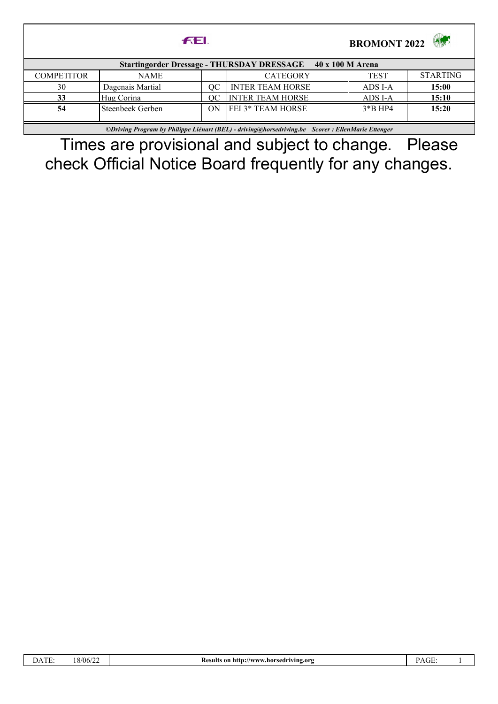|                                                                                                   | <b>FEL</b>       | <b>BROMONT 2022</b> |                          |             |                 |  |  |  |
|---------------------------------------------------------------------------------------------------|------------------|---------------------|--------------------------|-------------|-----------------|--|--|--|
| Startingorder Dressage - THURSDAY DRESSAGE 40 x 100 M Arena                                       |                  |                     |                          |             |                 |  |  |  |
| <b>COMPETITOR</b>                                                                                 | NAME             |                     | <b>CATEGORY</b>          | <b>TEST</b> | <b>STARTING</b> |  |  |  |
| 30                                                                                                | Dagenais Martial | OC.                 | <b>INTER TEAM HORSE</b>  | ADS I-A     | 15:00           |  |  |  |
| 33                                                                                                | Hug Corina       | OC.                 | <b>INTER TEAM HORSE</b>  | ADS I-A     | 15:10           |  |  |  |
| 54                                                                                                | Steenbeek Gerben | ON                  | <b>FEI 3* TEAM HORSE</b> | $3*B$ HP4   | 15:20           |  |  |  |
|                                                                                                   |                  |                     |                          |             |                 |  |  |  |
| ©Driving Program by Philippe Liénart (BEL) - driving@horsedriving.be Scorer : EllenMarie Ettenger |                  |                     |                          |             |                 |  |  |  |

Times are provisional and subject to change. Please check Official Notice Board frequently for any changes.